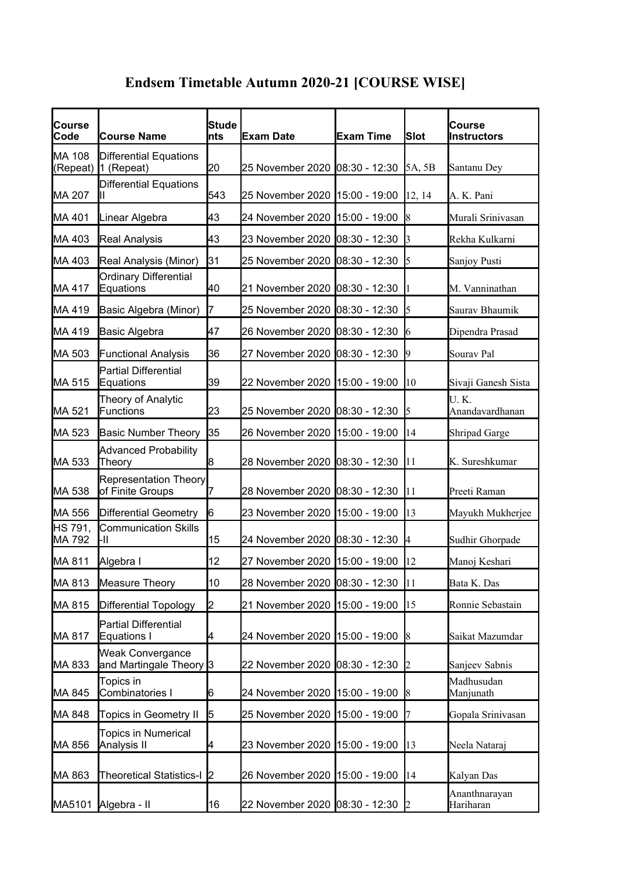## **Endsem Timetable Autumn 2020-21 [COURSE WISE]**

| Course<br>Code    | <b>Course Name</b>                                     | Stude<br>Ints | <b>Exam Date</b>               | <b>Exam Time</b> | <b>Slot</b>    | <b>Course</b><br><b>Instructors</b> |
|-------------------|--------------------------------------------------------|---------------|--------------------------------|------------------|----------------|-------------------------------------|
| MA 108            | <b>Differential Equations</b><br>(Repeat)   1 (Repeat) | 20            | 25 November 2020 08:30 - 12:30 |                  | 5A, 5B         | Santanu Dey                         |
| MA 207            | <b>Differential Equations</b>                          | 543           | 25 November 2020 15:00 - 19:00 |                  | 12, 14         | A. K. Pani                          |
| MA 401            | Linear Algebra                                         | 43            | 24 November 2020 15:00 - 19:00 |                  | 8              | Murali Srinivasan                   |
| MA 403            | <b>Real Analysis</b>                                   | 43            | 23 November 2020 08:30 - 12:30 |                  |                | Rekha Kulkarni                      |
| MA 403            | Real Analysis (Minor)                                  | 31            | 25 November 2020 08:30 - 12:30 |                  | 5              | Sanjoy Pusti                        |
| MA 417            | <b>Ordinary Differential</b><br>Equations              | 40            | 21 November 2020 08:30 - 12:30 |                  |                | M. Vanninathan                      |
| MA 419            | Basic Algebra (Minor)                                  | 17            | 25 November 2020 08:30 - 12:30 |                  | 5              | Saurav Bhaumik                      |
| MA 419            | Basic Algebra                                          | 47            | 26 November 2020 08:30 - 12:30 |                  | 6              | Dipendra Prasad                     |
| MA 503            | <b>Functional Analysis</b>                             | 36            | 27 November 2020 08:30 - 12:30 |                  | 9              | Sourav Pal                          |
| MA 515            | <b>Partial Differential</b><br>Equations               | 39            | 22 November 2020 15:00 - 19:00 |                  | 10             | Sivaji Ganesh Sista                 |
| MA 521            | Theory of Analytic<br>Functions                        | 23            | 25 November 2020 08:30 - 12:30 |                  | 5              | U.K.<br>Anandavardhanan             |
| MA 523            | <b>Basic Number Theory</b>                             | 35            | 26 November 2020 15:00 - 19:00 |                  | 14             | <b>Shripad Garge</b>                |
| MA 533            | <b>Advanced Probability</b><br>Theory                  | 18            | 28 November 2020 08:30 - 12:30 |                  | 11             | K. Sureshkumar                      |
| MA 538            | <b>Representation Theory</b><br>of Finite Groups       | 17            | 28 November 2020 08:30 - 12:30 |                  | 11             | Preeti Raman                        |
| MA 556            | Differential Geometry                                  | 16            | 23 November 2020 15:00 - 19:00 |                  | 13             | Mayukh Mukherjee                    |
| HS 791,<br>MA 792 | <b>Communication Skills</b><br>l-II                    | 15            | 24 November 2020 08:30 - 12:30 |                  | 4              | Sudhir Ghorpade                     |
| MA 811            | Algebra I                                              | 12            | 27 November 2020 15:00 - 19:00 |                  | 12             | Manoj Keshari                       |
| MA 813            | Measure Theory                                         | 10            | 28 November 2020 08:30 - 12:30 |                  | 11             | Bata K. Das                         |
| MA 815            | Differential Topology                                  | 2             | 21 November 2020 15:00 - 19:00 |                  | 15             | Ronnie Sebastain                    |
| MA 817            | Partial Differential<br>Equations I                    | 4             | 24 November 2020 15:00 - 19:00 |                  | 8              | Saikat Mazumdar                     |
| MA 833            | <b>Weak Convergance</b><br>and Martingale Theory 3     |               | 22 November 2020 08:30 - 12:30 |                  | $\overline{2}$ | Sanjeev Sabnis                      |
| MA 845            | Topics in<br>Combinatories I                           | 6             | 24 November 2020 15:00 - 19:00 |                  | 8              | Madhusudan<br>Manjunath             |
| MA 848            | Topics in Geometry II                                  | 5             | 25 November 2020 15:00 - 19:00 |                  | 7              | Gopala Srinivasan                   |
| MA 856            | <b>Topics in Numerical</b><br>Analysis II              | 4             | 23 November 2020 15:00 - 19:00 |                  | 13             | Neela Nataraj                       |
| MA 863            | Theoretical Statistics-I 2                             |               | 26 November 2020 15:00 - 19:00 |                  | 14             | Kalyan Das                          |
| MA5101            | Algebra - II                                           | 16            | 22 November 2020 08:30 - 12:30 |                  | 2              | Ananthnarayan<br>Hariharan          |